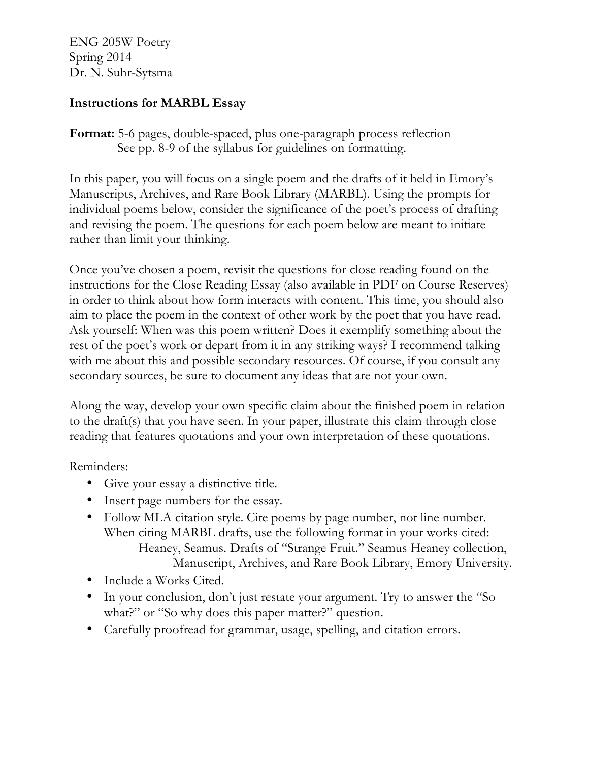ENG 205W Poetry Spring 2014 Dr. N. Suhr-Sytsma

# **Instructions for MARBL Essay**

**Format:** 5-6 pages, double-spaced, plus one-paragraph process reflection See pp. 8-9 of the syllabus for guidelines on formatting.

In this paper, you will focus on a single poem and the drafts of it held in Emory's Manuscripts, Archives, and Rare Book Library (MARBL). Using the prompts for individual poems below, consider the significance of the poet's process of drafting and revising the poem. The questions for each poem below are meant to initiate rather than limit your thinking.

Once you've chosen a poem, revisit the questions for close reading found on the instructions for the Close Reading Essay (also available in PDF on Course Reserves) in order to think about how form interacts with content. This time, you should also aim to place the poem in the context of other work by the poet that you have read. Ask yourself: When was this poem written? Does it exemplify something about the rest of the poet's work or depart from it in any striking ways? I recommend talking with me about this and possible secondary resources. Of course, if you consult any secondary sources, be sure to document any ideas that are not your own.

Along the way, develop your own specific claim about the finished poem in relation to the draft(s) that you have seen. In your paper, illustrate this claim through close reading that features quotations and your own interpretation of these quotations.

Reminders:

- Give your essay a distinctive title.
- Insert page numbers for the essay.
- Follow MLA citation style. Cite poems by page number, not line number. When citing MARBL drafts, use the following format in your works cited: Heaney, Seamus. Drafts of "Strange Fruit." Seamus Heaney collection, Manuscript, Archives, and Rare Book Library, Emory University.
- Include a Works Cited.
- In your conclusion, don't just restate your argument. Try to answer the "So what?" or "So why does this paper matter?" question.
- Carefully proofread for grammar, usage, spelling, and citation errors.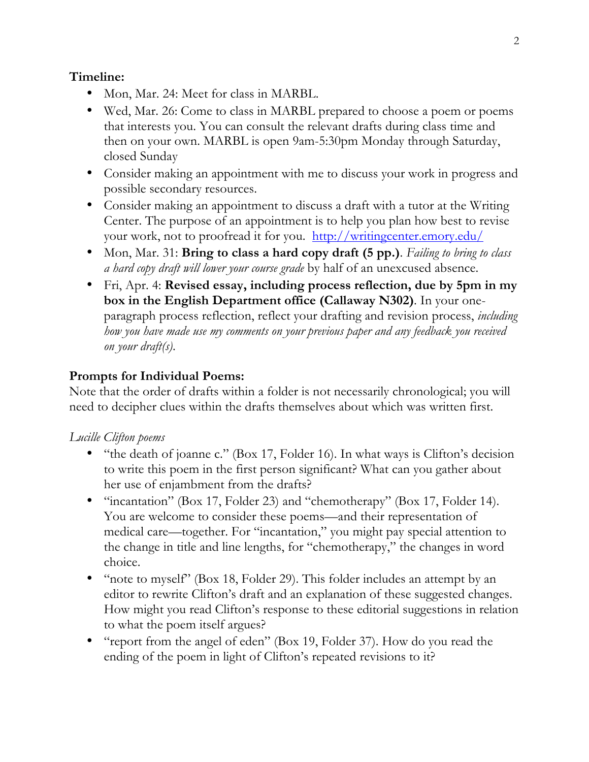### **Timeline:**

- Mon, Mar. 24: Meet for class in MARBL.
- Wed, Mar. 26: Come to class in MARBL prepared to choose a poem or poems that interests you. You can consult the relevant drafts during class time and then on your own. MARBL is open 9am-5:30pm Monday through Saturday, closed Sunday
- Consider making an appointment with me to discuss your work in progress and possible secondary resources.
- Consider making an appointment to discuss a draft with a tutor at the Writing Center. The purpose of an appointment is to help you plan how best to revise your work, not to proofread it for you. http://writingcenter.emory.edu/
- Mon, Mar. 31: **Bring to class a hard copy draft (5 pp.)**. *Failing to bring to class a hard copy draft will lower your course grade* by half of an unexcused absence.
- Fri, Apr. 4: **Revised essay, including process reflection, due by 5pm in my box in the English Department office (Callaway N302)**. In your oneparagraph process reflection, reflect your drafting and revision process, *including how you have made use my comments on your previous paper and any feedback you received on your draft(s)*.

# **Prompts for Individual Poems:**

Note that the order of drafts within a folder is not necessarily chronological; you will need to decipher clues within the drafts themselves about which was written first.

### *Lucille Clifton poems*

- "the death of joanne c." (Box 17, Folder 16). In what ways is Clifton's decision to write this poem in the first person significant? What can you gather about her use of enjambment from the drafts?
- "incantation" (Box 17, Folder 23) and "chemotherapy" (Box 17, Folder 14). You are welcome to consider these poems—and their representation of medical care—together. For "incantation," you might pay special attention to the change in title and line lengths, for "chemotherapy," the changes in word choice.
- "note to myself" (Box 18, Folder 29). This folder includes an attempt by an editor to rewrite Clifton's draft and an explanation of these suggested changes. How might you read Clifton's response to these editorial suggestions in relation to what the poem itself argues?
- "report from the angel of eden" (Box 19, Folder 37). How do you read the ending of the poem in light of Clifton's repeated revisions to it?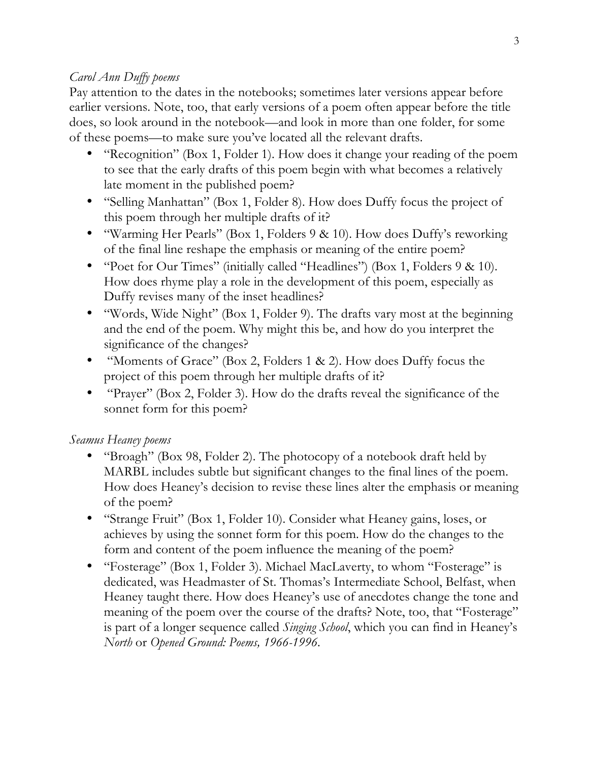# *Carol Ann Duffy poems*

Pay attention to the dates in the notebooks; sometimes later versions appear before earlier versions. Note, too, that early versions of a poem often appear before the title does, so look around in the notebook—and look in more than one folder, for some of these poems—to make sure you've located all the relevant drafts.

- "Recognition" (Box 1, Folder 1). How does it change your reading of the poem to see that the early drafts of this poem begin with what becomes a relatively late moment in the published poem?
- "Selling Manhattan" (Box 1, Folder 8). How does Duffy focus the project of this poem through her multiple drafts of it?
- "Warming Her Pearls" (Box 1, Folders 9 & 10). How does Duffy's reworking of the final line reshape the emphasis or meaning of the entire poem?
- "Poet for Our Times" (initially called "Headlines") (Box 1, Folders 9 & 10). How does rhyme play a role in the development of this poem, especially as Duffy revises many of the inset headlines?
- "Words, Wide Night" (Box 1, Folder 9). The drafts vary most at the beginning and the end of the poem. Why might this be, and how do you interpret the significance of the changes?
- "Moments of Grace" (Box 2, Folders 1 & 2). How does Duffy focus the project of this poem through her multiple drafts of it?
- "Prayer" (Box 2, Folder 3). How do the drafts reveal the significance of the sonnet form for this poem?

# *Seamus Heaney poems*

- "Broagh" (Box 98, Folder 2). The photocopy of a notebook draft held by MARBL includes subtle but significant changes to the final lines of the poem. How does Heaney's decision to revise these lines alter the emphasis or meaning of the poem?
- "Strange Fruit" (Box 1, Folder 10). Consider what Heaney gains, loses, or achieves by using the sonnet form for this poem. How do the changes to the form and content of the poem influence the meaning of the poem?
- "Fosterage" (Box 1, Folder 3). Michael MacLaverty, to whom "Fosterage" is dedicated, was Headmaster of St. Thomas's Intermediate School, Belfast, when Heaney taught there. How does Heaney's use of anecdotes change the tone and meaning of the poem over the course of the drafts? Note, too, that "Fosterage" is part of a longer sequence called *Singing School*, which you can find in Heaney's *North* or *Opened Ground: Poems, 1966-1996*.